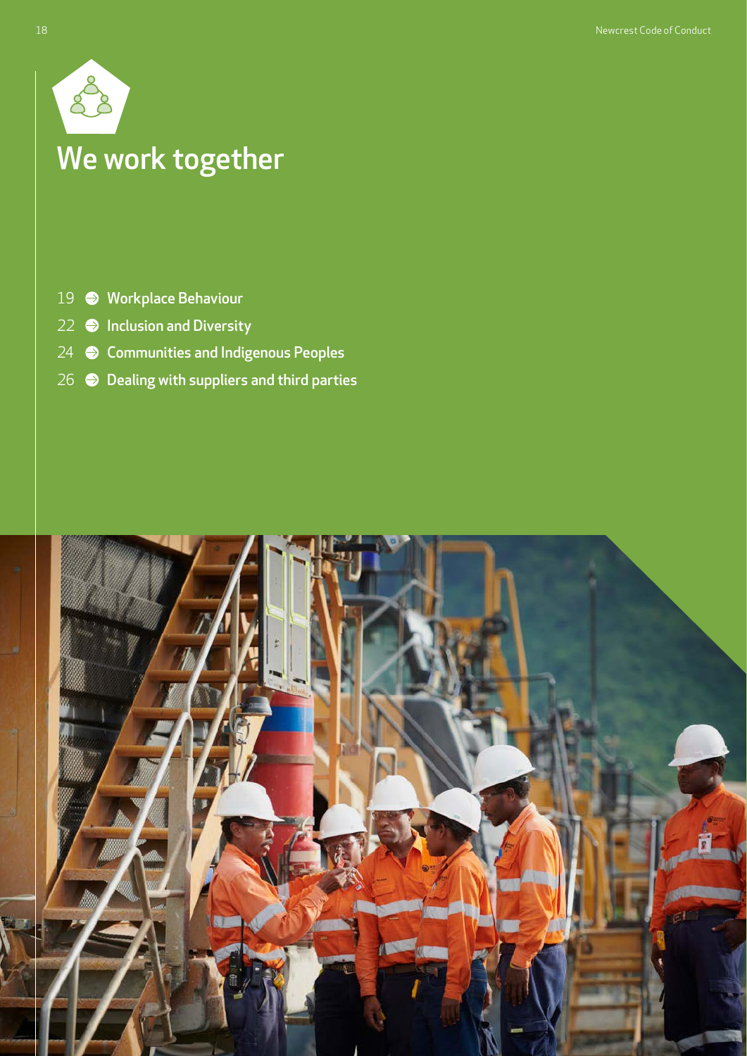

# We work together

- 19 [Workplace Behaviour](#page-1-0)
- $22$   $\bigcirc$  [Inclusion and Diversity](#page-4-0)
- 24 **[Communities and Indigenous Peoples](#page-6-0)**
- 26  $\bigcirc$  [Dealing with suppliers and third parties](#page-8-0)

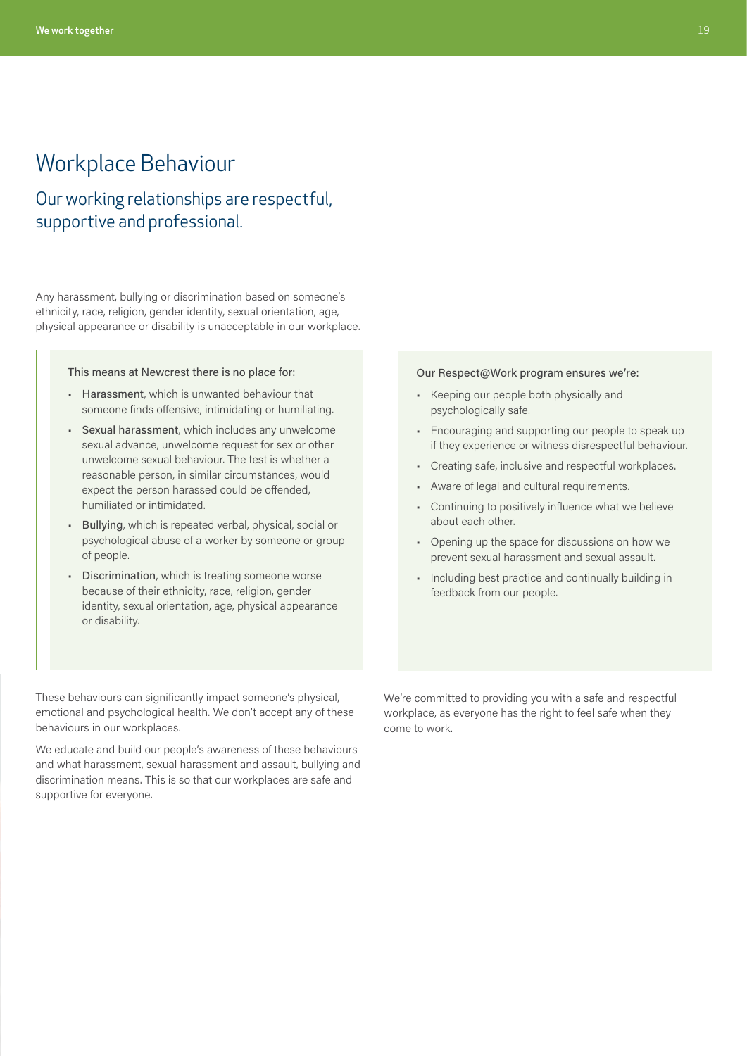# <span id="page-1-0"></span>Workplace Behaviour

# Our working relationships are respectful, supportive and professional.

Any harassment, bullying or discrimination based on someone's ethnicity, race, religion, gender identity, sexual orientation, age, physical appearance or disability is unacceptable in our workplace.

This means at Newcrest there is no place for:

- Harassment, which is unwanted behaviour that someone finds offensive, intimidating or humiliating.
- Sexual harassment, which includes any unwelcome sexual advance, unwelcome request for sex or other unwelcome sexual behaviour. The test is whether a reasonable person, in similar circumstances, would expect the person harassed could be offended, humiliated or intimidated.
- Bullying, which is repeated verbal, physical, social or psychological abuse of a worker by someone or group of people.
- Discrimination, which is treating someone worse because of their ethnicity, race, religion, gender identity, sexual orientation, age, physical appearance or disability.

#### Our Respect@Work program ensures we're:

- Keeping our people both physically and psychologically safe.
- Encouraging and supporting our people to speak up if they experience or witness disrespectful behaviour.
- Creating safe, inclusive and respectful workplaces.
- Aware of legal and cultural requirements.
- Continuing to positively influence what we believe about each other.
- Opening up the space for discussions on how we prevent sexual harassment and sexual assault.
- Including best practice and continually building in feedback from our people.

These behaviours can significantly impact someone's physical, emotional and psychological health. We don't accept any of these behaviours in our workplaces.

We educate and build our people's awareness of these behaviours and what harassment, sexual harassment and assault, bullying and discrimination means. This is so that our workplaces are safe and supportive for everyone.

We're committed to providing you with a safe and respectful workplace, as everyone has the right to feel safe when they come to work.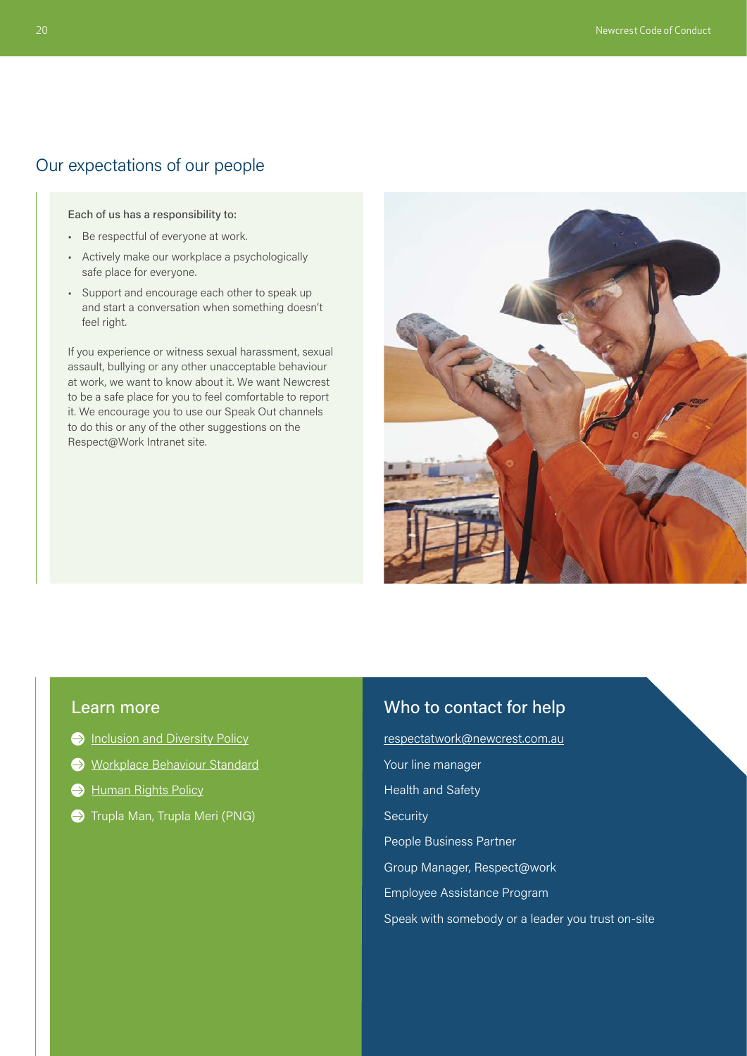# Our expectations of our people

Each of us has a responsibility to:

- Be respectful of everyone at work.
- Actively make our workplace a psychologically safe place for everyone.
- Support and encourage each other to speak up and start a conversation when something doesn't feel right.

If you experience or witness sexual harassment, sexual assault, bullying or any other unacceptable behaviour at work, we want to know about it. We want Newcrest to be a safe place for you to feel comfortable to report it. We encourage you to use our Speak Out channels to do this or any of the other suggestions on the Respect@Work Intranet site.



### Learn more

- **[Inclusion and Diversity Policy](https://www.newcrest.com/sites/default/files/2020-01/1908_Newcrest%20Diveristy%20and%20Inclusion%20Policy_0.pdf)**
- [Workplace Behaviour Standard](https://newcrestmining.sharepoint.com/sites/portal/Documents/Human%20Resources/HR-ST-11%20Workplace%20Behaviour%20Standard.pdf)
- [Human Rights Policy](https://www.newcrest.com/sites/default/files/2020-10/Newcrest%20Human%20Rights%20Policy.pdf)
- $\bigodot$  Trupla Man, Trupla Meri (PNG)

# Who to contact for help

respectatwork@newcrest.com.au Your line manager Health and Safety **Security** People Business Partner Group Manager, Respect@work Employee Assistance Program Speak with somebody or a leader you trust on-site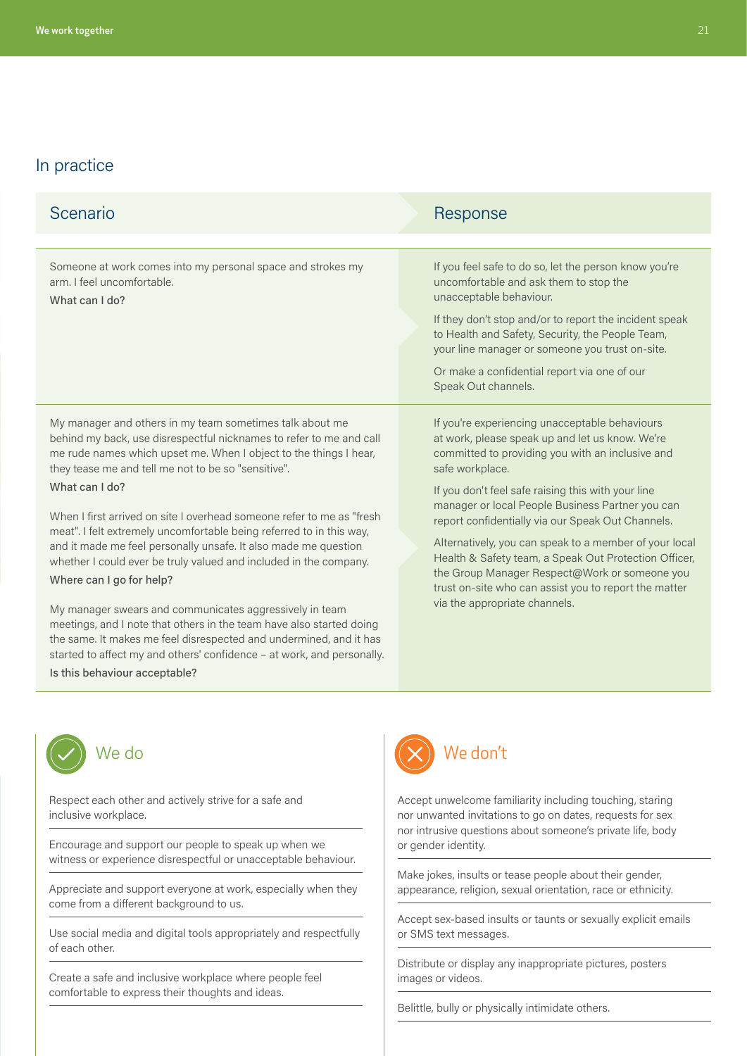| Scenario                                                                                                                                                                                                                                                                                                                                                                                                                                                                                                                                                                                                                                                                                                                                                                                                                                                                                                               | Response                                                                                                                                                                                                                                                                                                                                                                                                                                                                                                                                                                                              |
|------------------------------------------------------------------------------------------------------------------------------------------------------------------------------------------------------------------------------------------------------------------------------------------------------------------------------------------------------------------------------------------------------------------------------------------------------------------------------------------------------------------------------------------------------------------------------------------------------------------------------------------------------------------------------------------------------------------------------------------------------------------------------------------------------------------------------------------------------------------------------------------------------------------------|-------------------------------------------------------------------------------------------------------------------------------------------------------------------------------------------------------------------------------------------------------------------------------------------------------------------------------------------------------------------------------------------------------------------------------------------------------------------------------------------------------------------------------------------------------------------------------------------------------|
|                                                                                                                                                                                                                                                                                                                                                                                                                                                                                                                                                                                                                                                                                                                                                                                                                                                                                                                        |                                                                                                                                                                                                                                                                                                                                                                                                                                                                                                                                                                                                       |
| Someone at work comes into my personal space and strokes my<br>arm. I feel uncomfortable.<br>What can I do?                                                                                                                                                                                                                                                                                                                                                                                                                                                                                                                                                                                                                                                                                                                                                                                                            | If you feel safe to do so, let the person know you're<br>uncomfortable and ask them to stop the<br>unacceptable behaviour.<br>If they don't stop and/or to report the incident speak<br>to Health and Safety, Security, the People Team,<br>your line manager or someone you trust on-site.<br>Or make a confidential report via one of our<br>Speak Out channels.                                                                                                                                                                                                                                    |
| My manager and others in my team sometimes talk about me<br>behind my back, use disrespectful nicknames to refer to me and call<br>me rude names which upset me. When I object to the things I hear,<br>they tease me and tell me not to be so "sensitive".<br>What can I do?<br>When I first arrived on site I overhead someone refer to me as "fresh<br>meat". I felt extremely uncomfortable being referred to in this way,<br>and it made me feel personally unsafe. It also made me question<br>whether I could ever be truly valued and included in the company.<br>Where can I go for help?<br>My manager swears and communicates aggressively in team<br>meetings, and I note that others in the team have also started doing<br>the same. It makes me feel disrespected and undermined, and it has<br>started to affect my and others' confidence - at work, and personally.<br>Is this behaviour acceptable? | If you're experiencing unacceptable behaviours<br>at work, please speak up and let us know. We're<br>committed to providing you with an inclusive and<br>safe workplace.<br>If you don't feel safe raising this with your line<br>manager or local People Business Partner you can<br>report confidentially via our Speak Out Channels.<br>Alternatively, you can speak to a member of your local<br>Health & Safety team, a Speak Out Protection Officer,<br>the Group Manager Respect@Work or someone you<br>trust on-site who can assist you to report the matter<br>via the appropriate channels. |



Respect each other and actively strive for a safe and inclusive workplace.

Encourage and support our people to speak up when we witness or experience disrespectful or unacceptable behaviour.

Appreciate and support everyone at work, especially when they come from a different background to us.

Use social media and digital tools appropriately and respectfully of each other.

Create a safe and inclusive workplace where people feel comfortable to express their thoughts and ideas.



Accept unwelcome familiarity including touching, staring nor unwanted invitations to go on dates, requests for sex nor intrusive questions about someone's private life, body or gender identity.

Make jokes, insults or tease people about their gender, appearance, religion, sexual orientation, race or ethnicity.

Accept sex-based insults or taunts or sexually explicit emails or SMS text messages.

Distribute or display any inappropriate pictures, posters images or videos.

Belittle, bully or physically intimidate others.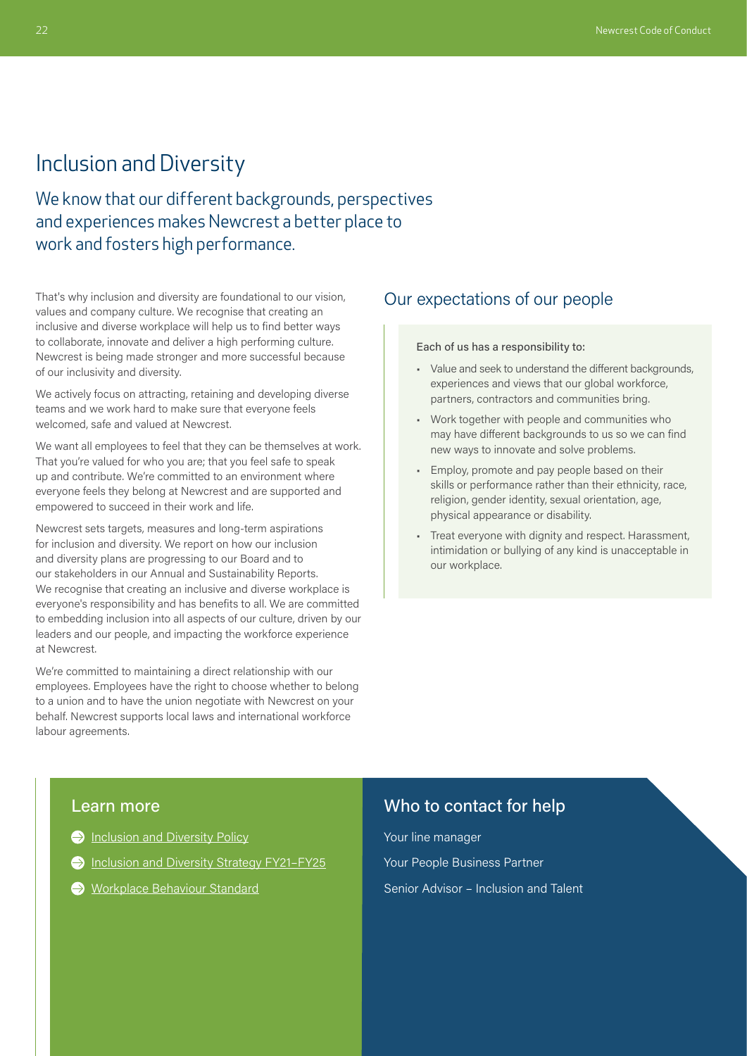# <span id="page-4-0"></span>Inclusion and Diversity

We know that our different backgrounds, perspectives and experiences makes Newcrest a better place to work and fosters high performance.

That's why inclusion and diversity are foundational to our vision, values and company culture. We recognise that creating an inclusive and diverse workplace will help us to find better ways to collaborate, innovate and deliver a high performing culture. Newcrest is being made stronger and more successful because of our inclusivity and diversity.

We actively focus on attracting, retaining and developing diverse teams and we work hard to make sure that everyone feels welcomed, safe and valued at Newcrest.

We want all employees to feel that they can be themselves at work. That you're valued for who you are; that you feel safe to speak up and contribute. We're committed to an environment where everyone feels they belong at Newcrest and are supported and empowered to succeed in their work and life.

Newcrest sets targets, measures and long-term aspirations for inclusion and diversity. We report on how our inclusion and diversity plans are progressing to our Board and to our stakeholders in our Annual and Sustainability Reports. We recognise that creating an inclusive and diverse workplace is everyone's responsibility and has benefits to all. We are committed to embedding inclusion into all aspects of our culture, driven by our leaders and our people, and impacting the workforce experience at Newcrest.

We're committed to maintaining a direct relationship with our employees. Employees have the right to choose whether to belong to a union and to have the union negotiate with Newcrest on your behalf. Newcrest supports local laws and international workforce labour agreements.

### Our expectations of our people

#### Each of us has a responsibility to:

- Value and seek to understand the different backgrounds, experiences and views that our global workforce, partners, contractors and communities bring.
- Work together with people and communities who may have different backgrounds to us so we can find new ways to innovate and solve problems.
- Employ, promote and pay people based on their skills or performance rather than their ethnicity, race, religion, gender identity, sexual orientation, age, physical appearance or disability.
- Treat everyone with dignity and respect. Harassment, intimidation or bullying of any kind is unacceptable in our workplace.

#### Learn more

- **[Inclusion and Diversity Policy](https://www.newcrest.com/sites/default/files/2020-01/1908_Newcrest%20Diveristy%20and%20Inclusion%20Policy_0.pdf)**
- Inclusion and Diversity Strategy FY21-FY25
- [Workplace Behaviour Standard](https://newcrestmining.sharepoint.com/sites/portal/Documents/Human%20Resources/HR-ST-11%20Workplace%20Behaviour%20Standard.pdf)

# Who to contact for help

Your line manager Your People Business Partner Senior Advisor – Inclusion and Talent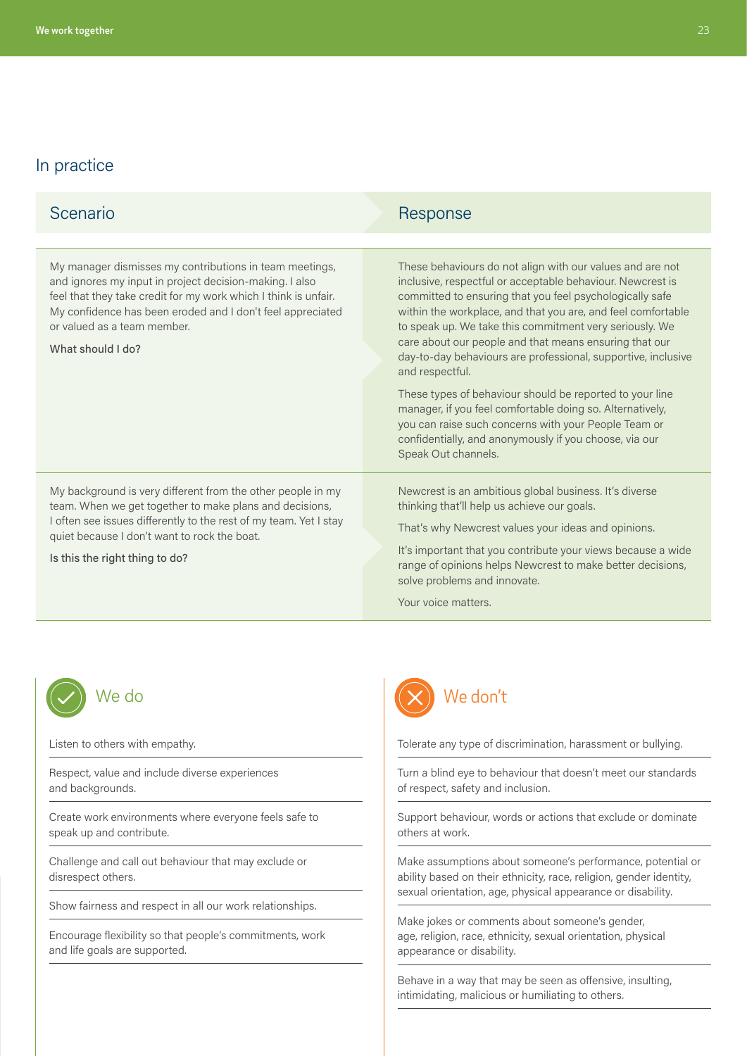| Scenario                                                                                                                                                                                                                                                                                                | Response                                                                                                                                                                                                                                                                                                                                                                                                                                                     |
|---------------------------------------------------------------------------------------------------------------------------------------------------------------------------------------------------------------------------------------------------------------------------------------------------------|--------------------------------------------------------------------------------------------------------------------------------------------------------------------------------------------------------------------------------------------------------------------------------------------------------------------------------------------------------------------------------------------------------------------------------------------------------------|
|                                                                                                                                                                                                                                                                                                         |                                                                                                                                                                                                                                                                                                                                                                                                                                                              |
| My manager dismisses my contributions in team meetings,<br>and ignores my input in project decision-making. I also<br>feel that they take credit for my work which I think is unfair.<br>My confidence has been eroded and I don't feel appreciated<br>or valued as a team member.<br>What should I do? | These behaviours do not align with our values and are not<br>inclusive, respectful or acceptable behaviour. Newcrest is<br>committed to ensuring that you feel psychologically safe<br>within the workplace, and that you are, and feel comfortable<br>to speak up. We take this commitment very seriously. We<br>care about our people and that means ensuring that our<br>day-to-day behaviours are professional, supportive, inclusive<br>and respectful. |
|                                                                                                                                                                                                                                                                                                         | These types of behaviour should be reported to your line<br>manager, if you feel comfortable doing so. Alternatively,<br>you can raise such concerns with your People Team or<br>confidentially, and anonymously if you choose, via our<br>Speak Out channels.                                                                                                                                                                                               |
| My background is very different from the other people in my<br>team. When we get together to make plans and decisions,<br>I often see issues differently to the rest of my team. Yet I stay<br>quiet because I don't want to rock the boat.<br>Is this the right thing to do?                           | Newcrest is an ambitious global business. It's diverse<br>thinking that'll help us achieve our goals.<br>That's why Newcrest values your ideas and opinions.<br>It's important that you contribute your views because a wide<br>range of opinions helps Newcrest to make better decisions,<br>solve problems and innovate.<br>Your voice matters.                                                                                                            |



Listen to others with empathy.

Respect, value and include diverse experiences and backgrounds.

Create work environments where everyone feels safe to speak up and contribute.

Challenge and call out behaviour that may exclude or disrespect others.

Show fairness and respect in all our work relationships.

Encourage flexibility so that people's commitments, work and life goals are supported.



Tolerate any type of discrimination, harassment or bullying.

Turn a blind eye to behaviour that doesn't meet our standards of respect, safety and inclusion.

Support behaviour, words or actions that exclude or dominate others at work.

Make assumptions about someone's performance, potential or ability based on their ethnicity, race, religion, gender identity, sexual orientation, age, physical appearance or disability.

Make jokes or comments about someone's gender, age, religion, race, ethnicity, sexual orientation, physical appearance or disability.

Behave in a way that may be seen as offensive, insulting, intimidating, malicious or humiliating to others.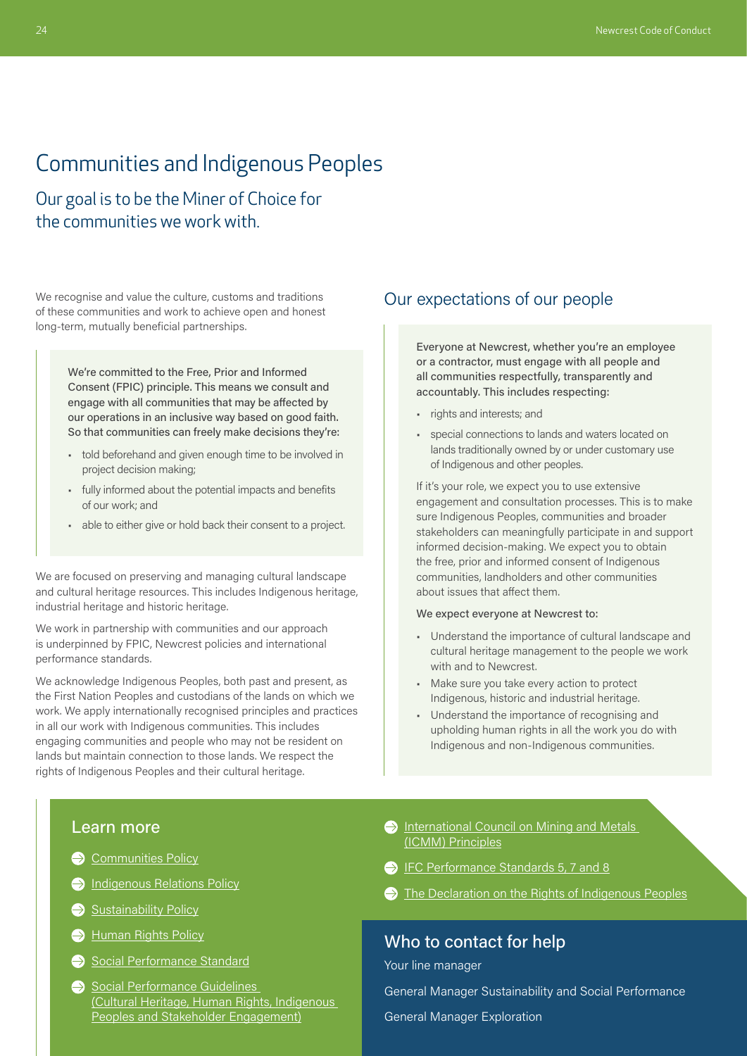# <span id="page-6-0"></span>Communities and Indigenous Peoples

Our goal is to be the Miner of Choice for the communities we work with.

We recognise and value the culture, customs and traditions of these communities and work to achieve open and honest long-term, mutually beneficial partnerships.

> We're committed to the Free, Prior and Informed Consent (FPIC) principle. This means we consult and engage with all communities that may be affected by our operations in an inclusive way based on good faith. So that communities can freely make decisions they're:

- told beforehand and given enough time to be involved in project decision making;
- fully informed about the potential impacts and benefits of our work; and
- able to either give or hold back their consent to a project.

We are focused on preserving and managing cultural landscape and cultural heritage resources. This includes Indigenous heritage, industrial heritage and historic heritage.

We work in partnership with communities and our approach is underpinned by FPIC, Newcrest policies and international performance standards.

We acknowledge Indigenous Peoples, both past and present, as the First Nation Peoples and custodians of the lands on which we work. We apply internationally recognised principles and practices in all our work with Indigenous communities. This includes engaging communities and people who may not be resident on lands but maintain connection to those lands. We respect the rights of Indigenous Peoples and their cultural heritage.

### Our expectations of our people

Everyone at Newcrest, whether you're an employee or a contractor, must engage with all people and all communities respectfully, transparently and accountably. This includes respecting:

- rights and interests; and
- special connections to lands and waters located on lands traditionally owned by or under customary use of Indigenous and other peoples.

If it's your role, we expect you to use extensive engagement and consultation processes. This is to make sure Indigenous Peoples, communities and broader stakeholders can meaningfully participate in and support informed decision-making. We expect you to obtain the free, prior and informed consent of Indigenous communities, landholders and other communities about issues that affect them.

#### We expect everyone at Newcrest to:

- Understand the importance of cultural landscape and cultural heritage management to the people we work with and to Newcrest.
- Make sure you take every action to protect Indigenous, historic and industrial heritage.
- Understand the importance of recognising and upholding human rights in all the work you do with Indigenous and non-Indigenous communities.

### Learn more

- [Communities Policy](https://www.newcrest.com/sites/default/files/2019-11/191003_Newcrest%20Communities%20Policy.pdf)
- **[Indigenous Relations Policy](https://www.newcrest.com/sites/default/files/2019-10/1803_Newcrest%20Indigenous%20Relations%20Policy.pdf)**
- [Sustainability Policy](https://www.newcrest.com/sites/default/files/2019-10/1906_Newcrest%20Sustainability%20Policy.pdf)
- [Human Rights Policy](https://www.newcrest.com/sites/default/files/2020-10/Newcrest%20Human%20Rights%20Policy.pdf)
- [Social Performance Standard](https://newcrestmining.sharepoint.com/sites/portal/Documents/Social%20Performance/PER-SP-01%20Social%20Performance%20Standard.pdf)
- Social Performance Guidelines [\(Cultural Heritage,](https://newcrestmining.sharepoint.com/sites/portal/Documents/Social%20Performance/3.13%20Cultural%20Heritage%20Management%20Guideline.pdf) [Human Rights](https://www.newcrest.com/sites/default/files/2020-10/Newcrest%20Human%20Rights%20Policy.pdf), [Indigenous](https://newcrestmining.sharepoint.com/sites/portal/Documents/Social%20Performance/3.19%20Indigenous%20Peoples%20and%20FPIC%20Guideline.pdf)  [Peoples](https://newcrestmining.sharepoint.com/sites/portal/Documents/Social%20Performance/3.19%20Indigenous%20Peoples%20and%20FPIC%20Guideline.pdf) and [Stakeholder Engagement](https://newcrestmining.sharepoint.com/sites/portal/Documents/Social%20Performance/3.6%20Stakeholder%20and%20Community%20Engagement.pdf))
- **International Council on Mining and Metals** [\(ICMM\) Principles](https://www.icmm.com/en-gb/about-us/member-requirements/mining-principles)
- [IFC Performance Standards 5, 7 and 8](https://www.ifc.org/wps/wcm/connect/24e6bfc3-5de3-444d-be9b-226188c95454/PS_English_2012_Full-Document.pdf?MOD=AJPERES&CVID=jkV-X6h)
- The Declaration on the Rights of Indigenous Peoples

# Who to contact for help

Your line manager

General Manager Sustainability and Social Performance

General Manager Exploration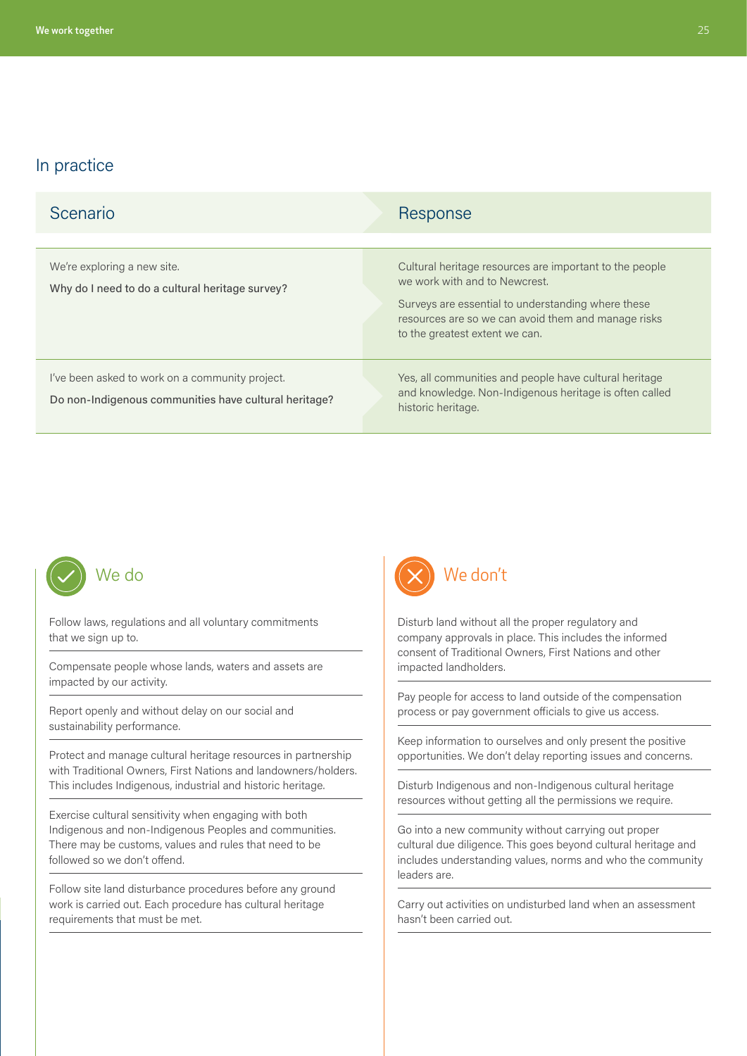| Scenario                                                                                                 | Response                                                                                                                                                                                                                                |
|----------------------------------------------------------------------------------------------------------|-----------------------------------------------------------------------------------------------------------------------------------------------------------------------------------------------------------------------------------------|
| We're exploring a new site.<br>Why do I need to do a cultural heritage survey?                           | Cultural heritage resources are important to the people<br>we work with and to Newcrest.<br>Surveys are essential to understanding where these<br>resources are so we can avoid them and manage risks<br>to the greatest extent we can. |
| I've been asked to work on a community project.<br>Do non-Indigenous communities have cultural heritage? | Yes, all communities and people have cultural heritage<br>and knowledge. Non-Indigenous heritage is often called<br>historic heritage.                                                                                                  |



that we sign up to.

Follow laws, regulations and all voluntary commitments

Compensate people whose lands, waters and assets are impacted by our activity.

Report openly and without delay on our social and sustainability performance.

Protect and manage cultural heritage resources in partnership with Traditional Owners, First Nations and landowners/holders. This includes Indigenous, industrial and historic heritage.

Exercise cultural sensitivity when engaging with both Indigenous and non-Indigenous Peoples and communities. There may be customs, values and rules that need to be followed so we don't offend.

Follow site land disturbance procedures before any ground work is carried out. Each procedure has cultural heritage requirements that must be met.



Disturb land without all the proper regulatory and company approvals in place. This includes the informed consent of Traditional Owners, First Nations and other impacted landholders.

Pay people for access to land outside of the compensation process or pay government officials to give us access.

Keep information to ourselves and only present the positive opportunities. We don't delay reporting issues and concerns.

Disturb Indigenous and non-Indigenous cultural heritage resources without getting all the permissions we require.

Go into a new community without carrying out proper cultural due diligence. This goes beyond cultural heritage and includes understanding values, norms and who the community leaders are.

Carry out activities on undisturbed land when an assessment hasn't been carried out.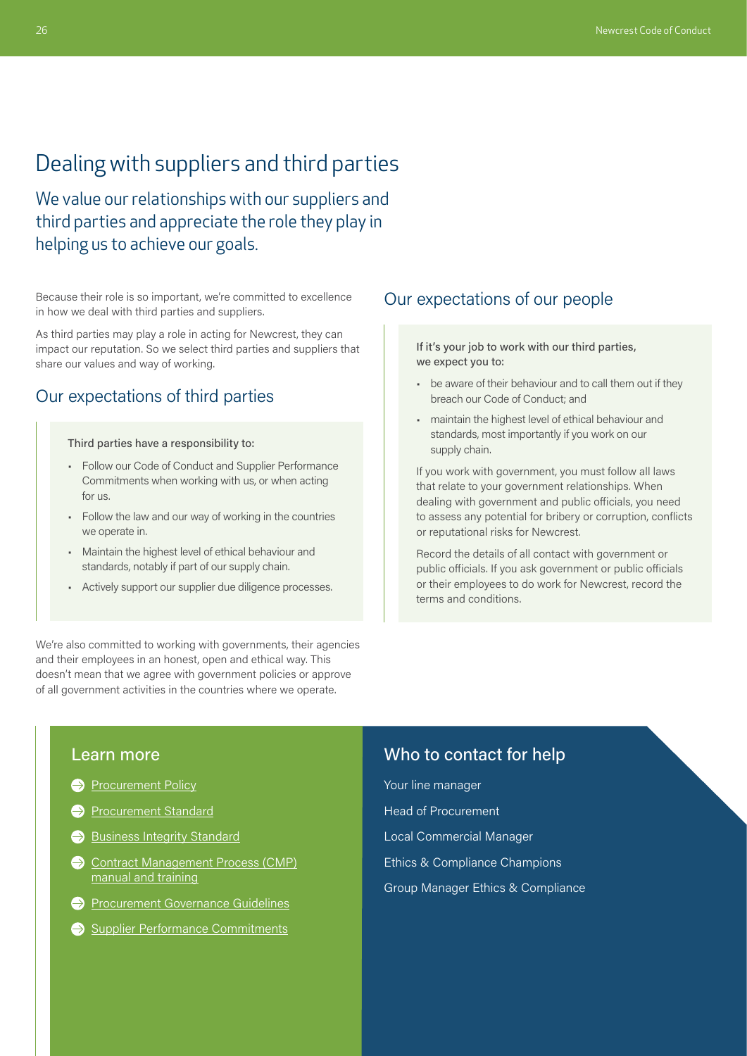# <span id="page-8-0"></span>Dealing with suppliers and third parties

We value our relationships with our suppliers and third parties and appreciate the role they play in helping us to achieve our goals.

Because their role is so important, we're committed to excellence in how we deal with third parties and suppliers.

As third parties may play a role in acting for Newcrest, they can impact our reputation. So we select third parties and suppliers that share our values and way of working.

# Our expectations of third parties

Third parties have a responsibility to:

- Follow our Code of Conduct and Supplier Performance Commitments when working with us, or when acting for us.
- Follow the law and our way of working in the countries we operate in.
- Maintain the highest level of ethical behaviour and standards, notably if part of our supply chain.
- Actively support our supplier due diligence processes.

We're also committed to working with governments, their agencies and their employees in an honest, open and ethical way. This doesn't mean that we agree with government policies or approve of all government activities in the countries where we operate.

### Our expectations of our people

If it's your job to work with our third parties, we expect you to:

- be aware of their behaviour and to call them out if they breach our Code of Conduct; and
- maintain the highest level of ethical behaviour and standards, most importantly if you work on our supply chain.

If you work with government, you must follow all laws that relate to your government relationships. When dealing with government and public officials, you need to assess any potential for bribery or corruption, conflicts or reputational risks for Newcrest.

Record the details of all contact with government or public officials. If you ask government or public officials or their employees to do work for Newcrest, record the terms and conditions.

#### Learn more

- **[Procurement Policy](https://newcrestmining.sharepoint.com/sites/portal/Documents/Commercial/Procurement%20Policy%20April%2022.pdf)**
- **[Procurement Standard](https://newcrestmining.sharepoint.com/sites/portal/Documents/Supply/Procurement%20Standard.pdf)**
- [Business Integrity Standard](https://newcrestmining.sharepoint.com/sites/portal/Documents/Legal%20Risk%20&%20Compliance/Business%20Integrity%20Group%20Standard.pdf)
- Contract Management Process (CMP) [manual and training](https://newcrestmining.sharepoint.com/sites/portal/workplace-web/supply-logistics/Pages/NCMP.aspx)
- **Procurement Governance Guidelines**
- Supplier Performance Commitments

### Who to contact for help

Your line manager Head of Procurement Local Commercial Manager Ethics & Compliance Champions Group Manager Ethics & Compliance